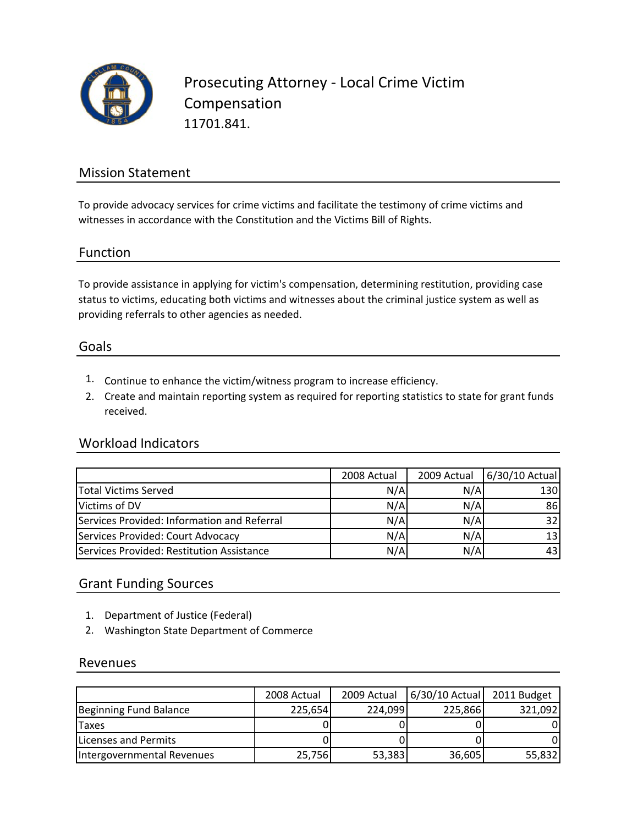

Prosecuting Attorney ‐ Local Crime Victim Compensation 11701.841.

## Mission Statement

To provide advocacy services for crime victims and facilitate the testimony of crime victims and witnesses in accordance with the Constitution and the Victims Bill of Rights.

## Function

To provide assistance in applying for victim's compensation, determining restitution, providing case status to victims, educating both victims and witnesses about the criminal justice system as well as providing referrals to other agencies as needed.

### Goals

- 1. Continue to enhance the victim/witness program to increase efficiency.
- 2. Create and maintain reporting system as required for reporting statistics to state for grant funds received.

### Workload Indicators

|                                             | 2008 Actual | 2009 Actual | 6/30/10 Actual |
|---------------------------------------------|-------------|-------------|----------------|
| <b>Total Victims Served</b>                 | N/A         | N/A         | 130            |
| Victims of DV                               | N/A         | N/A         | 86             |
| Services Provided: Information and Referral | N/A         | N/A         | 32             |
| Services Provided: Court Advocacy           | N/A         | N/A         | 13             |
| Services Provided: Restitution Assistance   | N/A         | N/A         |                |

## Grant Funding Sources

- 1. Department of Justice (Federal)
- 2. Washington State Department of Commerce

### Revenues

|                            | 2008 Actual | 2009 Actual | $6/30/10$ Actual | 2011 Budget |
|----------------------------|-------------|-------------|------------------|-------------|
| Beginning Fund Balance     | 225,654     | 224,099     | 225,866          | 321,092     |
| <b>Taxes</b>               |             |             |                  |             |
| Licenses and Permits       |             |             |                  |             |
| Intergovernmental Revenues | 25,756      | 53,383      | 36,605           | 55,832      |